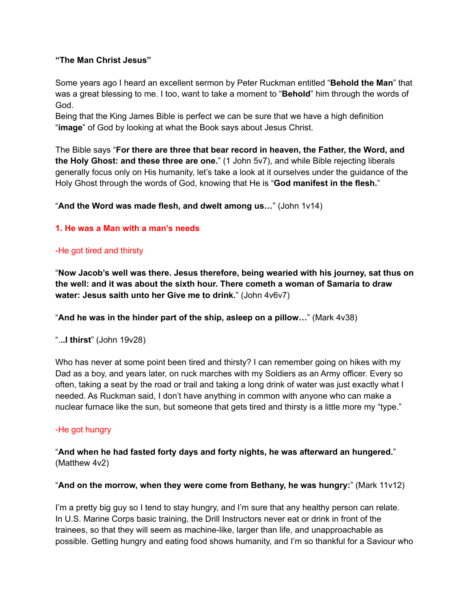## **"The Man Christ Jesus"**

Some years ago I heard an excellent sermon by Peter Ruckman entitled "**Behold the Man**" that was a great blessing to me. I too, want to take a moment to "**Behold**" him through the words of God.

Being that the King James Bible is perfect we can be sure that we have a high definition "**image**" of God by looking at what the Book says about Jesus Christ.

The Bible says "**For there are three that bear record in heaven, the Father, the Word, and the Holy Ghost: and these three are one.**" (1 John 5v7), and while Bible rejecting liberals generally focus only on His humanity, let's take a look at it ourselves under the guidance of the Holy Ghost through the words of God, knowing that He is "**God manifest in the flesh.**"

"**And the Word was made flesh, and dwelt among us…**" (John 1v14)

## **1. He was a Man with a man's needs**

## -He got tired and thirsty

"**Now Jacob's well was there. Jesus therefore, being wearied with his journey, sat thus on the well: and it was about the sixth hour. There cometh a woman of Samaria to draw water: Jesus saith unto her Give me to drink.**" (John 4v6v7)

"**And he was in the hinder part of the ship, asleep on a pillow…**" (Mark 4v38)

".**..I thirst**" (John 19v28)

Who has never at some point been tired and thirsty? I can remember going on hikes with my Dad as a boy, and years later, on ruck marches with my Soldiers as an Army officer. Every so often, taking a seat by the road or trail and taking a long drink of water was just exactly what I needed. As Ruckman said, I don't have anything in common with anyone who can make a nuclear furnace like the sun, but someone that gets tired and thirsty is a little more my "type."

# -He got hungry

"**And when he had fasted forty days and forty nights, he was afterward an hungered.**" (Matthew 4v2)

### "**And on the morrow, when they were come from Bethany, he was hungry:**" (Mark 11v12)

I'm a pretty big guy so I tend to stay hungry, and I'm sure that any healthy person can relate. In U.S. Marine Corps basic training, the Drill Instructors never eat or drink in front of the trainees, so that they will seem as machine-like, larger than life, and unapproachable as possible. Getting hungry and eating food shows humanity, and I'm so thankful for a Saviour who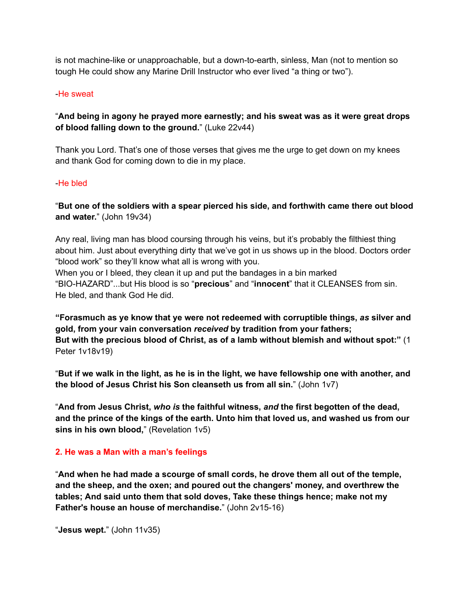is not machine-like or unapproachable, but a down-to-earth, sinless, Man (not to mention so tough He could show any Marine Drill Instructor who ever lived "a thing or two").

### -He sweat

## "**And being in agony he prayed more earnestly; and his sweat was as it were great drops of blood falling down to the ground.**" (Luke 22v44)

Thank you Lord. That's one of those verses that gives me the urge to get down on my knees and thank God for coming down to die in my place.

#### -He bled

"**But one of the soldiers with a spear pierced his side, and forthwith came there out blood and water.**" (John 19v34)

Any real, living man has blood coursing through his veins, but it's probably the filthiest thing about him. Just about everything dirty that we've got in us shows up in the blood. Doctors order "blood work" so they'll know what all is wrong with you.

When you or I bleed, they clean it up and put the bandages in a bin marked "BIO-HAZARD"...but His blood is so "**precious**" and "**innocent**" that it CLEANSES from sin. He bled, and thank God He did.

**["Forasmuch](https://www.kingjamesbibleonline.org/1-Peter-1-18/) as ye know that ye were not redeemed with corruptible things,** *as* **silver and gold, from your vain [conversation](https://www.kingjamesbibleonline.org/1-Peter-1-18/)** *received* **by tradition from your fathers; But with the [precious](https://www.kingjamesbibleonline.org/1-Peter-1-19/) blood of Christ, as of a lamb without blemish and without spot:"** (1 Peter 1v18v19)

"But if we walk in the light, as he is in the light, we have fellowship one with another, and **the blood of Jesus Christ his Son cleanseth us from all sin.**" (John 1v7)

"**And from Jesus Christ,** *who is* **the faithful witness,** *and* **the first begotten of the dead, and the prince of the kings of the earth. Unto him that loved us, and washed us from our sins in his own blood,**" (Revelation 1v5)

### **2. He was a Man with a man's feelings**

"**And when he had made a [scourge](https://www.kingjamesbibleonline.org/John-2-15/) of small cords, he drove them all out of the temple, and the sheep, and the oxen; and poured out the changers' money, and [overthrew](https://www.kingjamesbibleonline.org/John-2-15/) the [tables;](https://www.kingjamesbibleonline.org/John-2-15/) And said unto them that sold doves, Take these things [hence;](https://www.kingjamesbibleonline.org/John-2-16/) make not my Father's house an house of [merchandise.](https://www.kingjamesbibleonline.org/John-2-16/)**" (John 2v15-16)

```
"Jesus wept." (John 11v35)
```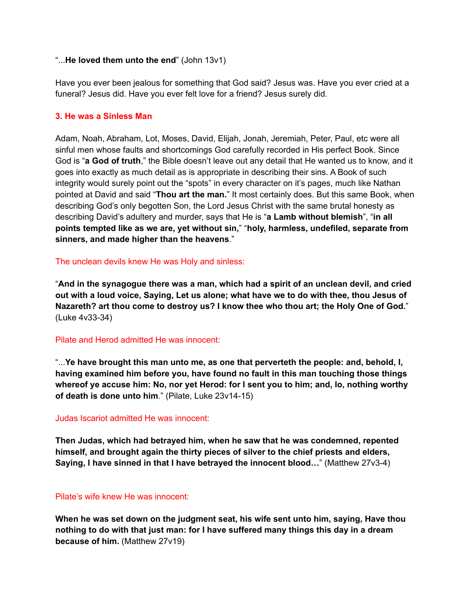#### "...**He loved them unto the end**" (John 13v1)

Have you ever been jealous for something that God said? Jesus was. Have you ever cried at a funeral? Jesus did. Have you ever felt love for a friend? Jesus surely did.

### **3. He was a Sinless Man**

Adam, Noah, Abraham, Lot, Moses, David, Elijah, Jonah, Jeremiah, Peter, Paul, etc were all sinful men whose faults and shortcomings God carefully recorded in His perfect Book. Since God is "**a God of truth**," the Bible doesn't leave out any detail that He wanted us to know, and it goes into exactly as much detail as is appropriate in describing their sins. A Book of such integrity would surely point out the "spots" in every character on it's pages, much like Nathan pointed at David and said "**Thou art the man.**" It most certainly does. But this same Book, when describing God's only begotten Son, the Lord Jesus Christ with the same brutal honesty as describing David's adultery and murder, says that He is "**a Lamb without blemish**", "**in all points tempted like as we are, yet without sin,**" "**holy, harmless, undefiled, separate from sinners, and made higher than the heavens**."

The unclean devils knew He was Holy and sinless:

"**And in the synagogue there was a man, which had a spirit of an unclean devil, and cried out with a loud voice, Saying, Let us alone; what have we to do with thee, thou Jesus of Nazareth? art thou come to destroy us? I know thee who thou art; the Holy One of God.**" (Luke 4v33-34)

### Pilate and Herod admitted He was innocent:

"...**Ye have brought this man unto me, as one that perverteth the people: and, behold, I, having examined him before you, have found no fault in this man touching those things whereof ye accuse him: No, nor yet Herod: for I sent you to him; and, lo, nothing worthy of death is done unto him**." (Pilate, Luke 23v14-15)

#### Judas Iscariot admitted He was innocent:

**Then Judas, which had betrayed him, when he saw that he was [condemned,](https://www.kingjamesbibleonline.org/Matthew-27-3/) repented [himself,](https://www.kingjamesbibleonline.org/Matthew-27-3/) and brought again the thirty pieces of silver to the chief priests and elders, Saying, I have sinned in that I have [betrayed](https://www.kingjamesbibleonline.org/Matthew-27-4/) the innocent blood…**" (Matthew 27v3-4)

## Pilate's wife knew He was innocent:

**When he was set down on the judgment seat, his wife sent unto him, saying, Have thou nothing to do with that just man: for I have suffered many things this day in a dream because of him.** (Matthew 27v19)